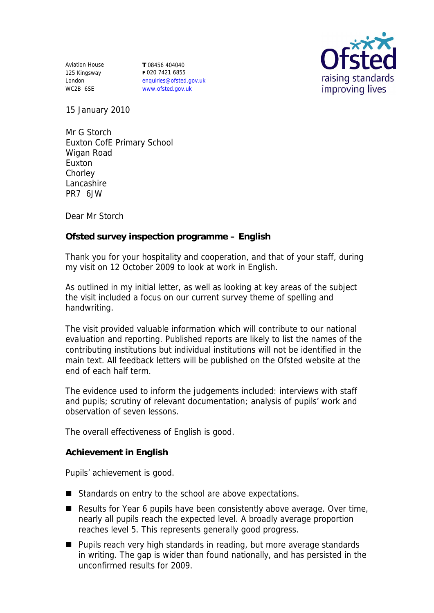Aviation House 125 Kingsway London WC2B 6SE

**T** 08456 404040 **F** 020 7421 6855 enquiries@ofsted.gov.uk www.ofsted.gov.uk



15 January 2010

Mr G Storch Euxton CofE Primary School Wigan Road Euxton **Chorley** Lancashire PR7 6JW

Dear Mr Storch

**Ofsted survey inspection programme – English** 

Thank you for your hospitality and cooperation, and that of your staff, during my visit on 12 October 2009 to look at work in English.

As outlined in my initial letter, as well as looking at key areas of the subject the visit included a focus on our current survey theme of spelling and handwriting.

The visit provided valuable information which will contribute to our national evaluation and reporting. Published reports are likely to list the names of the contributing institutions but individual institutions will not be identified in the main text. All feedback letters will be published on the Ofsted website at the end of each half term.

The evidence used to inform the judgements included: interviews with staff and pupils; scrutiny of relevant documentation; analysis of pupils' work and observation of seven lessons.

The overall effectiveness of English is good.

**Achievement in English**

Pupils' achievement is good.

- Standards on entry to the school are above expectations.
- Results for Year 6 pupils have been consistently above average. Over time, nearly all pupils reach the expected level. A broadly average proportion reaches level 5. This represents generally good progress.
- Pupils reach very high standards in reading, but more average standards in writing. The gap is wider than found nationally, and has persisted in the unconfirmed results for 2009.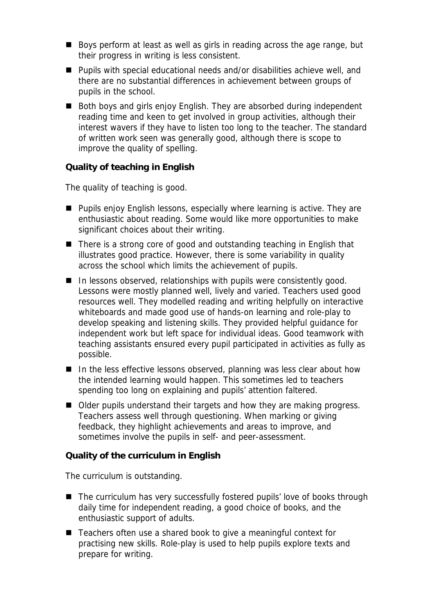- Boys perform at least as well as girls in reading across the age range, but their progress in writing is less consistent.
- Pupils with special educational needs and/or disabilities achieve well, and there are no substantial differences in achievement between groups of pupils in the school.
- Both boys and girls enjoy English. They are absorbed during independent reading time and keen to get involved in group activities, although their interest wavers if they have to listen too long to the teacher. The standard of written work seen was generally good, although there is scope to improve the quality of spelling.

**Quality of teaching in English**

The quality of teaching is good.

- **Pupils enjoy English lessons, especially where learning is active. They are** enthusiastic about reading. Some would like more opportunities to make significant choices about their writing.
- There is a strong core of good and outstanding teaching in English that illustrates good practice. However, there is some variability in quality across the school which limits the achievement of pupils.
- In lessons observed, relationships with pupils were consistently good. Lessons were mostly planned well, lively and varied. Teachers used good resources well. They modelled reading and writing helpfully on interactive whiteboards and made good use of hands-on learning and role-play to develop speaking and listening skills. They provided helpful guidance for independent work but left space for individual ideas. Good teamwork with teaching assistants ensured every pupil participated in activities as fully as possible.
- $\blacksquare$  In the less effective lessons observed, planning was less clear about how the intended learning would happen. This sometimes led to teachers spending too long on explaining and pupils' attention faltered.
- Older pupils understand their targets and how they are making progress. Teachers assess well through questioning. When marking or giving feedback, they highlight achievements and areas to improve, and sometimes involve the pupils in self- and peer-assessment.

**Quality of the curriculum in English**

The curriculum is outstanding.

- The curriculum has very successfully fostered pupils' love of books through daily time for independent reading, a good choice of books, and the enthusiastic support of adults.
- Teachers often use a shared book to give a meaningful context for practising new skills. Role-play is used to help pupils explore texts and prepare for writing.